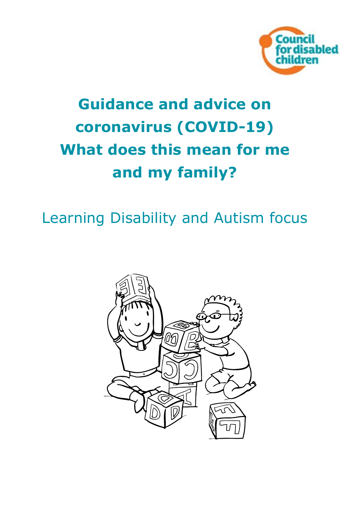

# **Guidance and advice on coronavirus (COVID-19) What does this mean for me and my family?**

## Learning Disability and Autism focus

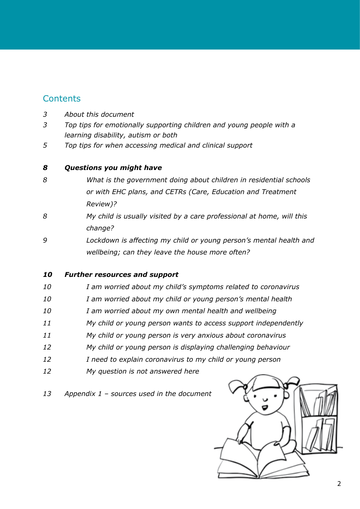### **Contents**

- *[About this document](#page-2-0)*
- *[Top tips for emotionally supporting children and young people with a](#page-2-0)  [learning disability, autism or both](#page-2-0)*
- *[Top tips for when accessing medical and clinical support](#page-4-0)*

#### *[Questions you might have](#page-7-0)*

- *[What is the government doing about children in residential schools](#page-7-0)  [or with EHC plans, and CETRs \(Care, Education and Treatment](#page-7-0)  [Review\)?](#page-7-0)*
- *[My child is usually visited by a care professional at home, will this](#page-7-0)  [change?](#page-7-0)*
- *[Lockdown is affecting my child or young person's mental health and](#page-8-0)  [wellbeing; can they leave the house more often?](#page-8-0)*

#### *[Further resources and support](#page-9-0)*

- *[I am worried about my child's symptoms related to coronavirus](#page-9-0)*
- *[I am worried about my child or young person's mental health](#page-9-0)*
- *[I am worried about my own mental health and wellbeing](#page-9-0)*
- *[My child or young person wants to access support independently](#page-10-0)*
- *[My child or young person is very anxious about coronavirus](#page-10-0)*
- *[My child or young person is displaying challenging behaviour](#page-11-0)*
- *[I need to explain coronavirus to my child or young person](#page-11-0)*
- *[My question is not answered here](#page-11-0)*
- *[Appendix 1 sources used in the document](#page-12-0)*

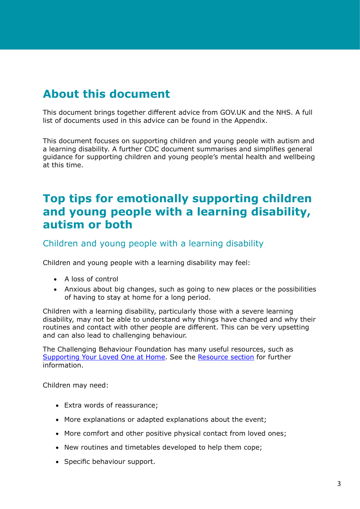### <span id="page-2-0"></span>**About this document**

This document brings together different advice from GOV.UK and the NHS. A full list of documents used in this advice can be found in the Appendix.

This document focuses on supporting children and young people with autism and a learning disability. A further CDC document summarises and simplifies general guidance for supporting children and young people's mental health and wellbeing at this time.

### **Top tips for emotionally supporting children and young people with a learning disability, autism or both**

Children and young people with a learning disability

Children and young people with a learning disability may feel:

- • A loss of control
- Anxious about big changes, such as going to new places or the possibilities of having to stay at home for a long period.

Children with a learning disability, particularly those with a severe learning disability, may not be able to understand why things have changed and why their routines and contact with other people are different. This can be very upsetting and can also lead to challenging behaviour.

The Challenging Behaviour Foundation has many useful resources, such as [Supporting Your Loved One at Home](https://www.challengingbehaviour.org.uk/learning-disability-assets/3challengingbehavioursupportingyourlovedoneathome.pdf). See the Resource section for further information.

Children may need:

- Extra words of reassurance;
- More explanations or adapted explanations about the event;
- More comfort and other positive physical contact from loved ones;
- New routines and timetables developed to help them cope;
- Specific behaviour support.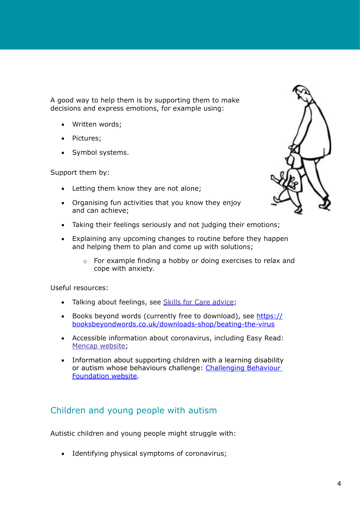A good way to help them is by supporting them to make decisions and express emotions, for example using:

- Written words;
- Pictures;
- Symbol systems.

Support them by:

- Letting them know they are not alone;
- Organising fun activities that you know they enjoy and can achieve;
- Taking their feelings seriously and not judging their emotions;
- • Explaining any upcoming changes to routine before they happen and helping them to plan and come up with solutions;
	- o For example finding a hobby or doing exercises to relax and cope with anxiety.

Useful resources:

- Talking about feelings, see [Skills for Care advice;](https://www.skillsforcare.org.uk/Documents/Topics/Learning-disability/Mental-health/Top-tips-feelings.pdf)
- Books beyond words (currently free to download), see [https://](https://booksbeyondwords.co.uk/downloads-shop/) [booksbeyondwords.co.uk/downloads-shop/beating-the-virus](https://booksbeyondwords.co.uk/downloads-shop/)
- Accessible information about coronavirus, including Easy Read: [Mencap website](https://www.mencap.org.uk/advice-and-support/health/coronavirus);
- Information about supporting children with a learning disability or autism whose behaviours challenge: [Challenging Behaviour](https://www.challengingbehaviour.org.uk/)  [Foundation website](https://www.challengingbehaviour.org.uk/).

#### Children and young people with autism

Autistic children and young people might struggle with:

• Identifying physical symptoms of coronavirus;

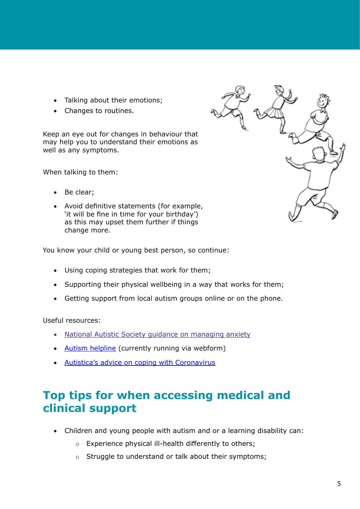- <span id="page-4-0"></span>• Talking about their emotions;
- • Changes to routines.

Keep an eye out for changes in behaviour that may help you to understand their emotions as well as any symptoms.

When talking to them:

- Be clear:
- • Avoid definitive statements (for example, 'it will be fine in time for your birthday') as this may upset them further if things change more.

You know your child or young best person, so continue:

- • Using coping strategies that work for them;
- Supporting their physical wellbeing in a way that works for them;
- Getting support from local autism groups online or on the phone.

Useful resources:

- **[National Autistic Society guidance on managing anxiety](https://www.autism.org.uk/about/behaviour/anxiety.aspx)**
- [Autism helpline](https://www.autism.org.uk/services/helplines/main/form.aspx) (currently running via webform)
- [Autistica's advice on coping with Coronavirus](https://www.autistica.org.uk/what-is-autism/coronavirus)

### **Top tips for when accessing medical and clinical support**

- Children and young people with autism and or a learning disability can:
	- o Experience physical ill-health differently to others;
	- o Struggle to understand or talk about their symptoms;

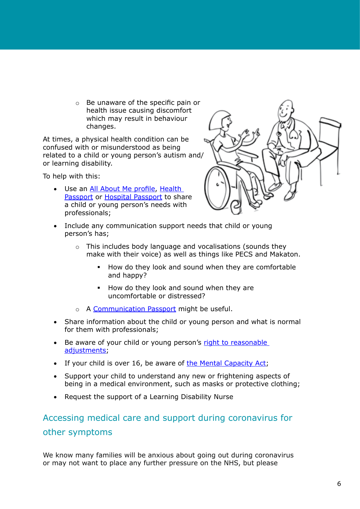o Be unaware of the specific pain or health issue causing discomfort which may result in behaviour changes.

At times, a physical health condition can be confused with or misunderstood as being related to a child or young person's autism and/ or learning disability.

To help with this:

• Use an [All About Me profile](https://www.bexleyvoice.org.uk/one-page-profiles.html), [Health](https://www.england.nhs.uk/6cs/wp-content/uploads/sites/25/2015/03/healthcare-passport.pdf)  [Passport](https://www.england.nhs.uk/6cs/wp-content/uploads/sites/25/2015/03/healthcare-passport.pdf) or [Hospital Passport](https://www.dimensions-uk.org/wp-content/uploads/covid-hospital-passport.pdf) to share a child or young person's needs with professionals;



- Include any communication support needs that child or young person's has;
	- o This includes body language and vocalisations (sounds they make with their voice) as well as things like PECS and Makaton.
		- How do they look and sound when they are comfortable and happy?
		- How do they look and sound when they are uncomfortable or distressed?
	- o A [Communication Passport](https://vimeo.com/364781207) might be useful.
- Share information about the child or young person and what is normal for them with professionals;
- Be aware of your child or young person's right to reasonable [adjustments](https://www.equalityhumanrights.com/en/advice-and-guidance/what-are-reasonable-adjustments);
- If your child is over 16, be aware of [the Mental Capacity Act;](https://councilfordisabledchildren.org.uk/news-opinion/news/amendment-mental-capacity-act-becomes-law)
- Support your child to understand any new or frightening aspects of being in a medical environment, such as masks or protective clothing;
- Request the support of a Learning Disability Nurse

### Accessing medical care and support during coronavirus for other symptoms

We know many families will be anxious about going out during coronavirus or may not want to place any further pressure on the NHS, but please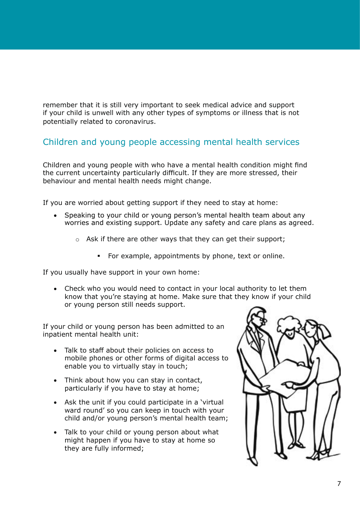remember that it is still very important to seek medical advice and support if your child is unwell with any other types of symptoms or illness that is not potentially related to coronavirus.

#### Children and young people accessing mental health services

Children and young people with who have a mental health condition might find the current uncertainty particularly difficult. If they are more stressed, their behaviour and mental health needs might change.

If you are worried about getting support if they need to stay at home:

- Speaking to your child or young person's mental health team about any worries and existing support. Update any safety and care plans as agreed.
	- o Ask if there are other ways that they can get their support;
		- For example, appointments by phone, text or online.

If you usually have support in your own home:

• Check who you would need to contact in your local authority to let them know that you're staying at home. Make sure that they know if your child or young person still needs support.

If your child or young person has been admitted to an inpatient mental health unit:

- • Talk to staff about their policies on access to mobile phones or other forms of digital access to enable you to virtually stay in touch;
- Think about how you can stay in contact, particularly if you have to stay at home;
- Ask the unit if you could participate in a 'virtual ward round' so you can keep in touch with your child and/or young person's mental health team;
- Talk to your child or young person about what might happen if you have to stay at home so they are fully informed;

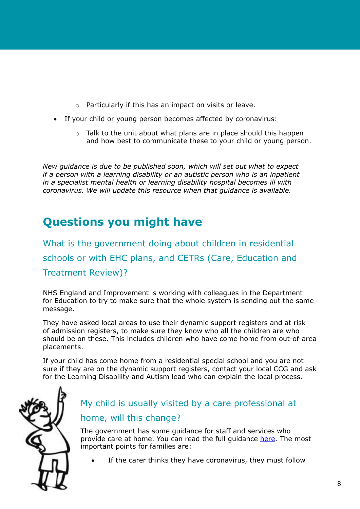- <span id="page-7-0"></span>o Particularly if this has an impact on visits or leave.
- If your child or young person becomes affected by coronavirus:
	- $\circ$  Talk to the unit about what plans are in place should this happen and how best to communicate these to your child or young person.

*New guidance is due to be published soon, which will set out what to expect if a person with a learning disability or an autistic person who is an inpatient in a specialist mental health or learning disability hospital becomes ill with coronavirus. We will update this resource when that guidance is available.*

### **Questions you might have**

What is the government doing about children in residential schools or with EHC plans, and CETRs (Care, Education and Treatment Review)?

NHS England and Improvement is working with colleagues in the Department for Education to try to make sure that the whole system is sending out the same message.

They have asked local areas to use their dynamic support registers and at risk of admission registers, to make sure they know who all the children are who should be on these. This includes children who have come home from out-of-area placements.

If your child has come home from a residential special school and you are not sure if they are on the dynamic support registers, contact your local CCG and ask for the Learning Disability and Autism lead who can explain the local process.



### My child is usually visited by a care professional at home, will this change?

The government has some guidance for staff and services who provide care at home. You can read the full guidance here. The most important points for families are:

If the carer thinks they have coronavirus, they must follow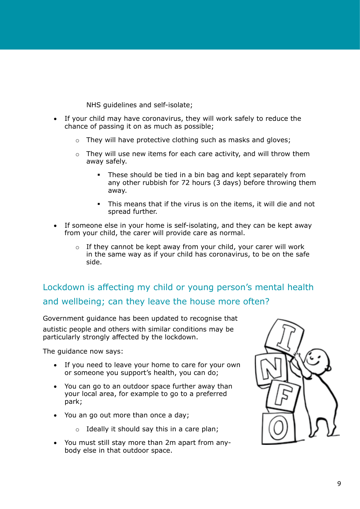NHS guidelines and self-isolate;

- <span id="page-8-0"></span>• If your child may have coronavirus, they will work safely to reduce the chance of passing it on as much as possible;
	- o They will have protective clothing such as masks and gloves;
	- o They will use new items for each care activity, and will throw them away safely.
		- These should be tied in a bin bag and kept separately from any other rubbish for 72 hours (3 days) before throwing them away.
		- This means that if the virus is on the items, it will die and not spread further.
- If someone else in your home is self-isolating, and they can be kept away from your child, the carer will provide care as normal.
	- $\circ$  If they cannot be kept away from your child, your carer will work in the same way as if your child has coronavirus, to be on the safe side.

### Lockdown is affecting my child or young person's mental health and wellbeing; can they leave the house more often?

Government guidance has been updated to recognise that autistic people and others with similar conditions may be particularly strongly affected by the lockdown.

The guidance now says:

- If you need to leave your home to care for your own or someone you support's health, you can do;
- You can go to an outdoor space further away than your local area, for example to go to a preferred park;
- You an go out more than once a day;
	- $\circ$  Ideally it should say this in a care plan;
- You must still stay more than 2m apart from anybody else in that outdoor space.

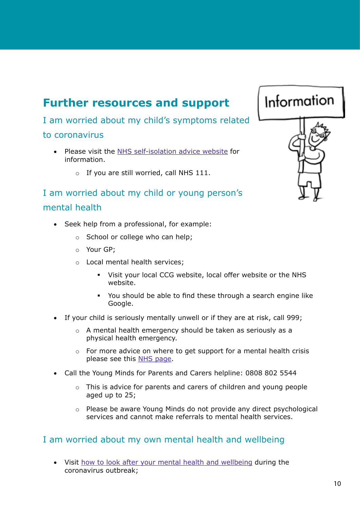### <span id="page-9-0"></span>**Further resources and support**

I am worried about my child's symptoms related

#### to coronavirus

- • Please visit the [NHS self-isolation advice website](https://www.nhs.uk/conditions/coronavirus-covid-19/self-isolation-advice/) for information.
	- o If you are still worried, call NHS 111.

### I am worried about my child or young person's mental health

- Seek help from a professional, for example:
	- o School or college who can help;
	- o Your GP;
	- o Local mental health services;
		- Visit your local CCG website, local offer website or the NHS website.
		- You should be able to find these through a search engine like Google.
- If your child is seriously mentally unwell or if they are at risk, call 999;
	- o A mental health emergency should be taken as seriously as a physical health emergency.
	- $\circ$  For more advice on where to get support for a mental health crisis please see this [NHS page](https://www.nhs.uk/using-the-nhs/nhs-services/mental-health-services/dealing-with-a-mental-health-crisis-or-emergency/).
- Call the Young Minds for Parents and Carers helpline: 0808 802 5544
	- o This is advice for parents and carers of children and young people aged up to 25;
	- o Please be aware Young Minds do not provide any direct psychological services and cannot make referrals to mental health services.

#### I am worried about my own mental health and wellbeing

• Visit how to [look after your mental health and wellbeing](https://www.gov.uk/government/publications/covid-19-guidance-for-the-public-on-mental-health-and-wellbeing) during the coronavirus outbreak;

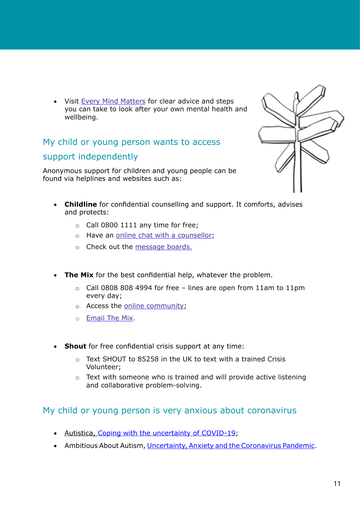<span id="page-10-0"></span>• Visit [Every Mind Matters](https://www.nhs.uk/oneyou/every-mind-matters/) for clear advice and steps you can take to look after your own mental health and wellbeing.

### My child or young person wants to access support independently

Anonymous support for children and young people can be found via helplines and websites such as:



- • **Childline** for confidential counselling and support. It comforts, advises and protects:
	- $\circ$  Call 0800 1111 any time for free;
	- o Have an [online chat with a counsellor](https://www.childline.org.uk/get-support/1-2-1-counsellor-chat/);
	- o Check out the [message boards.](https://www.childline.org.uk/get-support/message-boards/)
- **The Mix** for the best confidential help, whatever the problem.
	- $\circ$  Call 0808 808 4994 for free lines are open from 11am to 11pm every day;
	- o Access the [online community](https://community.themix.org.uk/);
	- o E[mail The Mix.](http://www.themix.org.uk/get-support/speak-to-our-team/email-us)
- Shout for free confidential crisis support at any time:
	- o Text SHOUT to 85258 in the UK to text with a trained Crisis Volunteer;
	- o Text with someone who is trained and will provide active listening and collaborative problem-solving.

#### My child or young person is very anxious about coronavirus

- Autistica, [Coping with the uncertainty of COVID-19;](https://www.autistica.org.uk/what-is-autism/coping-with-uncertainty)
- Ambitious About Autism, [Uncertainty, Anxiety and the Coronavirus Pandemic](https://www.ambitiousaboutautism.org.uk/understanding-autism/uncertainty-anxiety-and-the-coronavirus-pandemic).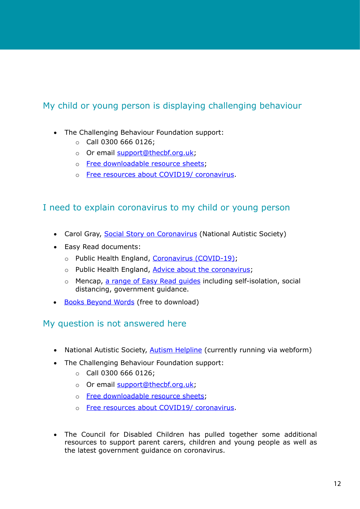#### <span id="page-11-0"></span>My child or young person is displaying challenging behaviour

- The Challenging Behaviour Foundation support:
	- $\circ$  Call 0300 666 0126;
	- o Or email [support@thecbf.org.uk](mailto:support@thecbf.org.uk);
	- o [Free downloadable resource sheets;](https://www.challengingbehaviour.org.uk/information/all-our-resources.html)
	- o [Free resources about COVID19/ coronavirus](https://www.challengingbehaviour.org.uk/information/covid19information.html).

#### I need to explain coronavirus to my child or young person

- Carol Gray, [Social Story on Coronavirus](https://carolgraysocialstories.com/wp-content/uploads/2020/03/Pandemics-and-the-Coronavirus.pdf) (National Autistic Society)
- • Easy Read documents:
	- o Public Health England, [Coronavirus \(COVID-19\);](https://assets.publishing.service.gov.uk/government/uploads/system/uploads/attachment_data/file/874281/COVID-19_easy_read.pdf)
	- o Public Health England, [Advice about the coronavirus;](https://www.easy-read-online.co.uk/media/53192/advice-on-the-coronavirus-v1.pdf)
	- o Mencap, [a range of Easy Read guides](https://www.mencap.org.uk/advice-and-support/health/coronavirus-covid-19) including self-isolation, social distancing, government guidance.
- • [Books Beyond Words](https://booksbeyondwords.co.uk/downloads-shop/) (free to download)

#### My question is not answered here

- National Autistic Society, **[Autism Helpline](https://www.autism.org.uk/services/helplines/main/form.aspx)** (currently running via webform)
- The Challenging Behaviour Foundation support:
	- o Call 0300 666 0126;
	- o Or email [support@thecbf.org.uk](mailto:support@thecbf.org.uk);
	- o [Free downloadable resource sheets;](https://www.challengingbehaviour.org.uk/information/all-our-resources.html)
	- o [Free resources about COVID19/ coronavirus](https://www.challengingbehaviour.org.uk/information/covid19information.html).
- The Council for Disabled Children has pulled together some additional resources to support parent carers, children and young people as well as the latest government guidance on coronavirus.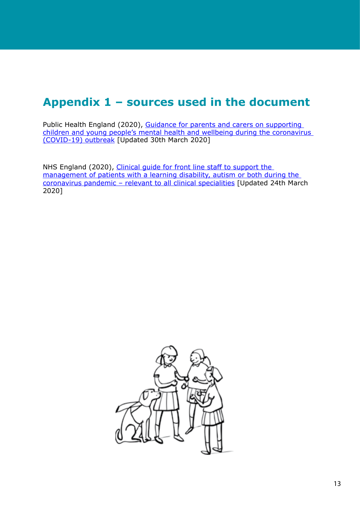### <span id="page-12-0"></span>**Appendix 1 – sources used in the document**

Public Health England (2020), [Guidance for parents and carers on supporting](https://www.gov.uk/government/publications/covid-19-guidance-on-supporting-children-and-young-peoples-mental-health-and-wellbeing/guidance-for-parents-and-carers-on-supporting-children-and-young-peoples-mental-health-and-wellbeing-during-the-coronavirus-covid-19-outbreak)  [children and young people's mental health and wellbeing during the coronavirus](https://www.gov.uk/government/publications/covid-19-guidance-on-supporting-children-and-young-peoples-mental-health-and-wellbeing/guidance-for-parents-and-carers-on-supporting-children-and-young-peoples-mental-health-and-wellbeing-during-the-coronavirus-covid-19-outbreak)  [\(COVID-19\) outbreak](https://www.gov.uk/government/publications/covid-19-guidance-on-supporting-children-and-young-peoples-mental-health-and-wellbeing/guidance-for-parents-and-carers-on-supporting-children-and-young-peoples-mental-health-and-wellbeing-during-the-coronavirus-covid-19-outbreak) [Updated 30th March 2020]

NHS England (2020), [Clinical guide for front line staff to support the](https://www.england.nhs.uk/coronavirus/wp-content/uploads/sites/52/2020/03/C0031_Specialty-guide_LD-and-coronavirus-v1_-24-March.pdf)  [management of patients with a learning disability, autism or both during the](https://www.england.nhs.uk/coronavirus/wp-content/uploads/sites/52/2020/03/C0031_Specialty-guide_LD-and-coronavirus-v1_-24-March.pdf)  [coronavirus pandemic – relevant to all clinical specialities](https://www.england.nhs.uk/coronavirus/wp-content/uploads/sites/52/2020/03/C0031_Specialty-guide_LD-and-coronavirus-v1_-24-March.pdf) [Updated 24th March 2020]